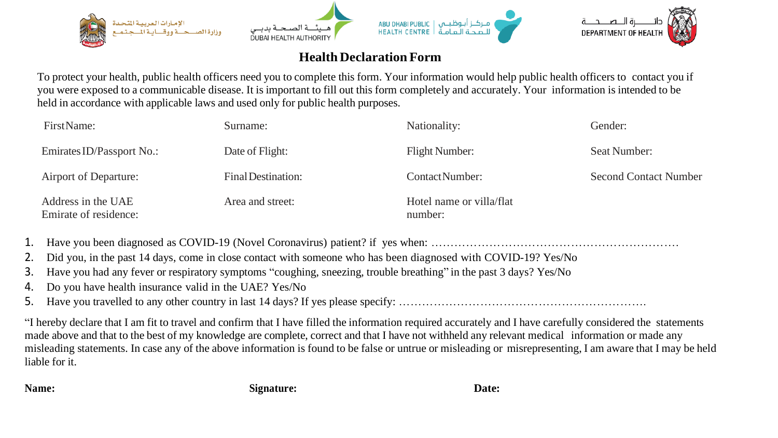

## **Health DeclarationForm**

To protect your health, public health officers need you to complete this form. Your information would help public health officers to contact you if you were exposed to a communicable disease. It is important to fill out this form completely and accurately. Your information is intended to be held in accordance with applicable laws and used only for public health purposes.

| First Name:                                 | Surname:                  | Nationality:                        | Gender:                      |
|---------------------------------------------|---------------------------|-------------------------------------|------------------------------|
| Emirates ID/Passport No.:                   | Date of Flight:           | <b>Flight Number:</b>               | Seat Number:                 |
| Airport of Departure:                       | <b>Final Destination:</b> | <b>ContactNumber:</b>               | <b>Second Contact Number</b> |
| Address in the UAE<br>Emirate of residence: | Area and street:          | Hotel name or villa/flat<br>number: |                              |

1. Have you been diagnosed as COVID-19 (Novel Coronavirus) patient? if yes when: ……………………………………………………….

2. Did you, in the past 14 days, come in close contact with someone who has been diagnosed with COVID-19? Yes/No

3. Have you had any fever or respiratory symptoms "coughing, sneezing, trouble breathing" in the past 3 days? Yes/No

4. Do you have health insurance valid in the UAE? Yes/No

5. Have you travelled to any other country in last 14 days? If yes please specify: ……………………………………………………….

"I hereby declare that I am fit to travel and confirm that I have filled the information required accurately and I have carefully considered the statements made above and that to the best of my knowledge are complete, correct and that I have not withheld any relevant medical information or made any misleading statements. In case any of the above information is found to be false or untrue or misleading or misrepresenting, I am aware that I may be held liable for it.

**Name: Date: Signature: Date: Date: Date:**